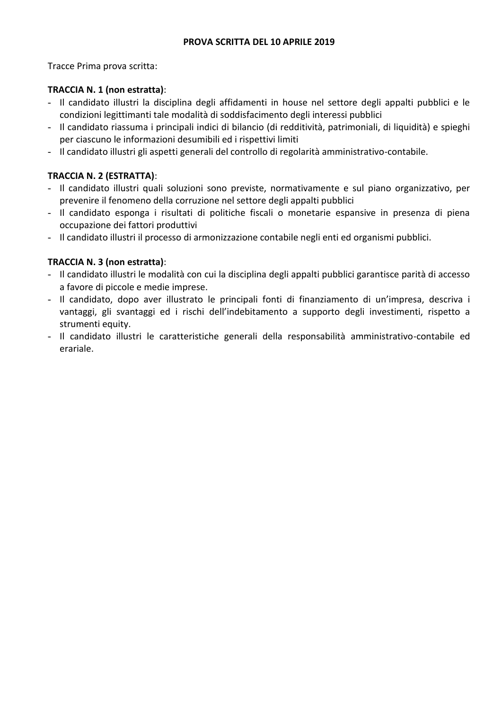### **PROVA SCRITTA DEL 10 APRILE 2019**

Tracce Prima prova scritta:

## **TRACCIA N. 1 (non estratta)**:

- Il candidato illustri la disciplina degli affidamenti in house nel settore degli appalti pubblici e le condizioni legittimanti tale modalità di soddisfacimento degli interessi pubblici
- Il candidato riassuma i principali indici di bilancio (di redditività, patrimoniali, di liquidità) e spieghi per ciascuno le informazioni desumibili ed i rispettivi limiti
- Il candidato illustri gli aspetti generali del controllo di regolarità amministrativo-contabile.

# **TRACCIA N. 2 (ESTRATTA)**:

- Il candidato illustri quali soluzioni sono previste, normativamente e sul piano organizzativo, per prevenire il fenomeno della corruzione nel settore degli appalti pubblici
- Il candidato esponga i risultati di politiche fiscali o monetarie espansive in presenza di piena occupazione dei fattori produttivi
- Il candidato illustri il processo di armonizzazione contabile negli enti ed organismi pubblici.

# **TRACCIA N. 3 (non estratta)**:

- Il candidato illustri le modalità con cui la disciplina degli appalti pubblici garantisce parità di accesso a favore di piccole e medie imprese.
- Il candidato, dopo aver illustrato le principali fonti di finanziamento di un'impresa, descriva i vantaggi, gli svantaggi ed i rischi dell'indebitamento a supporto degli investimenti, rispetto a strumenti equity.
- Il candidato illustri le caratteristiche generali della responsabilità amministrativo-contabile ed erariale.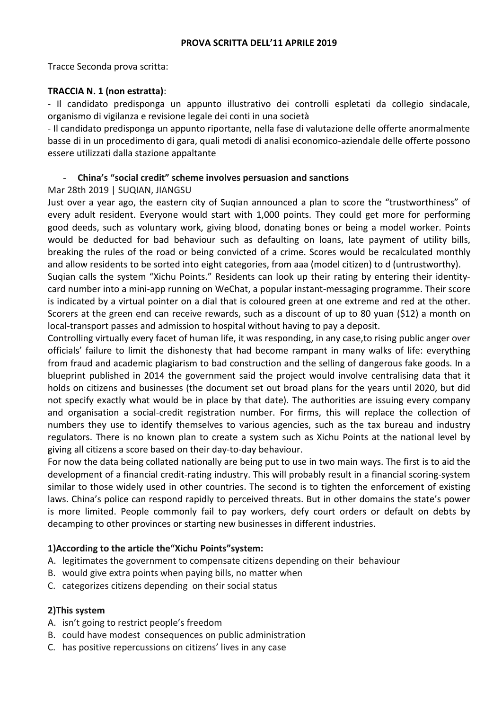Tracce Seconda prova scritta:

### **TRACCIA N. 1 (non estratta)**:

- Il candidato predisponga un appunto illustrativo dei controlli espletati da collegio sindacale, organismo di vigilanza e revisione legale dei conti in una società

- Il candidato predisponga un appunto riportante, nella fase di valutazione delle offerte anormalmente basse di in un procedimento di gara, quali metodi di analisi economico-aziendale delle offerte possono essere utilizzati dalla stazione appaltante

## - **China's "social credit" scheme involves persuasion and sanctions**

### Mar 28th 2019 | SUQIAN, JIANGSU

Just over a year ago, the eastern city of Suqian announced a plan to score the "trustworthiness" of every adult resident. Everyone would start with 1,000 points. They could get more for performing good deeds, such as voluntary work, giving blood, donating bones or being a model worker. Points would be deducted for bad behaviour such as defaulting on loans, late payment of utility bills, breaking the rules of the road or being convicted of a crime. Scores would be recalculated monthly and allow residents to be sorted into eight categories, from aaa (model citizen) to d (untrustworthy).

Suqian calls the system "Xichu Points." Residents can look up their rating by entering their identitycard number into a mini-app running on WeChat, a popular instant-messaging programme. Their score is indicated by a virtual pointer on a dial that is coloured green at one extreme and red at the other. Scorers at the green end can receive rewards, such as a discount of up to 80 yuan (\$12) a month on local-transport passes and admission to hospital without having to pay a deposit.

Controlling virtually every facet of human life, it was responding, in any case,to rising public anger over officials' failure to limit the dishonesty that had become rampant in many walks of life: everything from fraud and academic plagiarism to bad construction and the selling of dangerous fake goods. In a blueprint published in 2014 the government said the project would involve centralising data that it holds on citizens and businesses (the document set out broad plans for the years until 2020, but did not specify exactly what would be in place by that date). The authorities are issuing every company and organisation a social-credit registration number. For firms, this will replace the collection of numbers they use to identify themselves to various agencies, such as the tax bureau and industry regulators. There is no known plan to create a system such as Xichu Points at the national level by giving all citizens a score based on their day-to-day behaviour.

For now the data being collated nationally are being put to use in two main ways. The first is to aid the development of a financial credit-rating industry. This will probably result in a financial scoring-system similar to those widely used in other countries. The second is to tighten the enforcement of existing laws. China's police can respond rapidly to perceived threats. But in other domains the state's power is more limited. People commonly fail to pay workers, defy court orders or default on debts by decamping to other provinces or starting new businesses in different industries.

## **1)According to the article the"Xichu Points"system:**

- A. legitimates the government to compensate citizens depending on their behaviour
- B. would give extra points when paying bills, no matter when
- C. categorizes citizens depending on their social status

#### **2)This system**

- A. isn't going to restrict people's freedom
- B. could have modest consequences on public administration
- C. has positive repercussions on citizens' lives in any case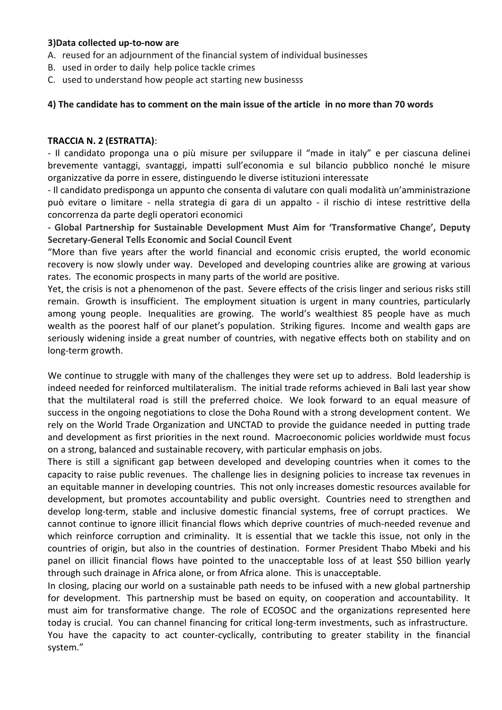#### **3)Data collected up-to-now are**

- A. reused for an adjournment of the financial system of individual businesses
- B. used in order to daily help police tackle crimes
- C. used to understand how people act starting new businesss

## **4) The candidate has to comment on the main issue of the article in no more than 70 words**

#### **TRACCIA N. 2 (ESTRATTA)**:

- Il candidato proponga una o più misure per sviluppare il "made in italy" e per ciascuna delinei brevemente vantaggi, svantaggi, impatti sull'economia e sul bilancio pubblico nonché le misure organizzative da porre in essere, distinguendo le diverse istituzioni interessate

- Il candidato predisponga un appunto che consenta di valutare con quali modalità un'amministrazione può evitare o limitare - nella strategia di gara di un appalto - il rischio di intese restrittive della concorrenza da parte degli operatori economici

**- Global Partnership for Sustainable Development Must Aim for 'Transformative Change', Deputy Secretary-General Tells Economic and Social Council Event**

"More than five years after the world financial and economic crisis erupted, the world economic recovery is now slowly under way. Developed and developing countries alike are growing at various rates. The economic prospects in many parts of the world are positive.

Yet, the crisis is not a phenomenon of the past. Severe effects of the crisis linger and serious risks still remain. Growth is insufficient. The employment situation is urgent in many countries, particularly among young people. Inequalities are growing. The world's wealthiest 85 people have as much wealth as the poorest half of our planet's population. Striking figures. Income and wealth gaps are seriously widening inside a great number of countries, with negative effects both on stability and on long-term growth.

We continue to struggle with many of the challenges they were set up to address. Bold leadership is indeed needed for reinforced multilateralism. The initial trade reforms achieved in Bali last year show that the multilateral road is still the preferred choice. We look forward to an equal measure of success in the ongoing negotiations to close the Doha Round with a strong development content. We rely on the World Trade Organization and UNCTAD to provide the guidance needed in putting trade and development as first priorities in the next round. Macroeconomic policies worldwide must focus on a strong, balanced and sustainable recovery, with particular emphasis on jobs.

There is still a significant gap between developed and developing countries when it comes to the capacity to raise public revenues. The challenge lies in designing policies to increase tax revenues in an equitable manner in developing countries. This not only increases domestic resources available for development, but promotes accountability and public oversight. Countries need to strengthen and develop long-term, stable and inclusive domestic financial systems, free of corrupt practices. We cannot continue to ignore illicit financial flows which deprive countries of much-needed revenue and which reinforce corruption and criminality. It is essential that we tackle this issue, not only in the countries of origin, but also in the countries of destination. Former President Thabo Mbeki and his panel on illicit financial flows have pointed to the unacceptable loss of at least \$50 billion yearly through such drainage in Africa alone, or from Africa alone. This is unacceptable.

In closing, placing our world on a sustainable path needs to be infused with a new global partnership for development. This partnership must be based on equity, on cooperation and accountability. It must aim for transformative change. The role of ECOSOC and the organizations represented here today is crucial. You can channel financing for critical long-term investments, such as infrastructure. You have the capacity to act counter-cyclically, contributing to greater stability in the financial system."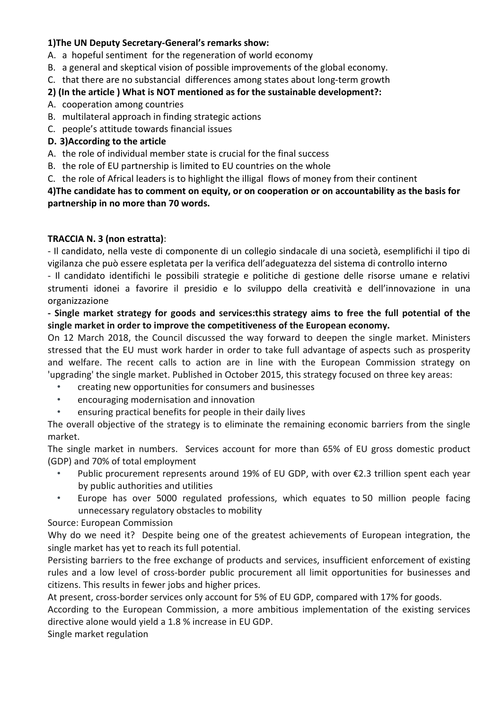# **1)The UN Deputy Secretary-General's remarks show:**

- A. a hopeful sentiment for the regeneration of world economy
- B. a general and skeptical vision of possible improvements of the global economy.
- C. that there are no substancial differences among states about long-term growth

# **2) (In the article ) What is NOT mentioned as for the sustainable development?:**

- A. cooperation among countries
- B. multilateral approach in finding strategic actions
- C. people's attitude towards financial issues

# **D. 3)According to the article**

- A. the role of individual member state is crucial for the final success
- B. the role of EU partnership is limited to EU countries on the whole
- C. the role of Africal leaders is to highlight the illigal flows of money from their continent

**4)The candidate has to comment on equity, or on cooperation or on accountability as the basis for partnership in no more than 70 words.**

# **TRACCIA N. 3 (non estratta)**:

- Il candidato, nella veste di componente di un collegio sindacale di una società, esemplifichi il tipo di vigilanza che può essere espletata per la verifica dell'adeguatezza del sistema di controllo interno

- Il candidato identifichi le possibili strategie e politiche di gestione delle risorse umane e relativi strumenti idonei a favorire il presidio e lo sviluppo della creatività e dell'innovazione in una organizzazione

**- Single market strategy for goods and services:this strategy aims to free the full potential of the single market in order to improve the competitiveness of the European economy.**

On 12 March 2018, the Council discussed the way forward to deepen the single market. Ministers stressed that the EU must work harder in order to take full advantage of aspects such as prosperity and welfare. The recent calls to action are in line with the European Commission strategy on 'upgrading' the single market. Published in October 2015, this strategy focused on three key areas:

- creating new opportunities for consumers and businesses
- encouraging modernisation and innovation
- ensuring practical benefits for people in their daily lives

The overall objective of the strategy is to eliminate the remaining economic barriers from the single market.

The single market in numbers. Services account for more than 65% of EU gross domestic product (GDP) and 70% of total employment

- Public procurement represents around 19% of EU GDP, with over  $\epsilon$ 2.3 trillion spent each year by public authorities and utilities
- Europe has over 5000 regulated professions, which equates to 50 million people facing unnecessary regulatory obstacles to mobility

# Source: European Commission

Why do we need it? Despite being one of the greatest achievements of European integration, the single market has yet to reach its full potential.

Persisting barriers to the free exchange of products and services, insufficient enforcement of existing rules and a low level of cross-border public procurement all limit opportunities for businesses and citizens. This results in fewer jobs and higher prices.

At present, cross-border services only account for 5% of EU GDP, compared with 17% for goods.

According to the European Commission, a more ambitious implementation of the existing services directive alone would yield a 1.8 % increase in EU GDP.

Single market regulation